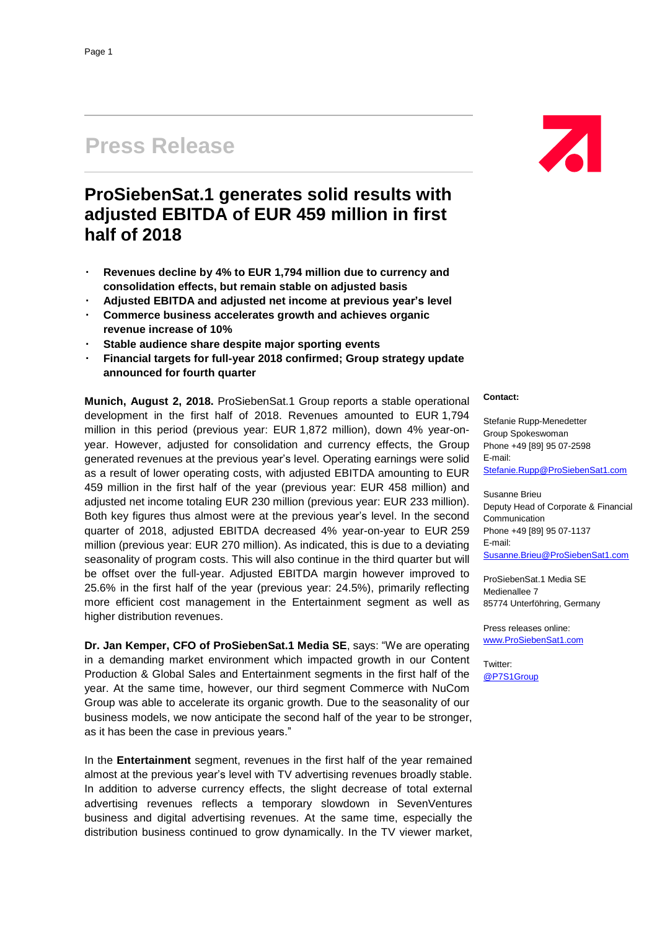## **Press Release**

## **ProSiebenSat.1 generates solid results with adjusted EBITDA of EUR 459 million in first half of 2018**

- **Revenues decline by 4% to EUR 1,794 million due to currency and consolidation effects, but remain stable on adjusted basis**
- **Adjusted EBITDA and adjusted net income at previous year's level**
- **Commerce business accelerates growth and achieves organic revenue increase of 10%**
- **Stable audience share despite major sporting events**
- **Financial targets for full-year 2018 confirmed; Group strategy update announced for fourth quarter**

**Munich, August 2, 2018.** ProSiebenSat.1 Group reports a stable operational development in the first half of 2018. Revenues amounted to EUR 1,794 million in this period (previous year: EUR 1,872 million), down 4% year-onyear. However, adjusted for consolidation and currency effects, the Group generated revenues at the previous year's level. Operating earnings were solid as a result of lower operating costs, with adjusted EBITDA amounting to EUR 459 million in the first half of the year (previous year: EUR 458 million) and adjusted net income totaling EUR 230 million (previous year: EUR 233 million). Both key figures thus almost were at the previous year's level. In the second quarter of 2018, adjusted EBITDA decreased 4% year-on-year to EUR 259 million (previous year: EUR 270 million). As indicated, this is due to a deviating seasonality of program costs. This will also continue in the third quarter but will be offset over the full-year. Adjusted EBITDA margin however improved to 25.6% in the first half of the year (previous year: 24.5%), primarily reflecting more efficient cost management in the Entertainment segment as well as higher distribution revenues.

**Dr. Jan Kemper, CFO of ProSiebenSat.1 Media SE**, says: "We are operating in a demanding market environment which impacted growth in our Content Production & Global Sales and Entertainment segments in the first half of the year. At the same time, however, our third segment Commerce with NuCom Group was able to accelerate its organic growth. Due to the seasonality of our business models, we now anticipate the second half of the year to be stronger, as it has been the case in previous years."

In the **Entertainment** segment, revenues in the first half of the year remained almost at the previous year's level with TV advertising revenues broadly stable. In addition to adverse currency effects, the slight decrease of total external advertising revenues reflects a temporary slowdown in SevenVentures business and digital advertising revenues. At the same time, especially the distribution business continued to grow dynamically. In the TV viewer market,

# Z

#### **Contact:**

Stefanie Rupp-Menedetter Group Spokeswoman Phone +49 [89] 95 07-2598 E-mail: [Stefanie.Rupp@ProSiebenSat1.com](mailto:Stefanie.Rupp@ProSiebenSat1.com)

Susanne Brieu Deputy Head of Corporate & Financial Communication Phone +49 [89] 95 07-1137 E-mail: [Susanne.Brieu@ProSiebenSat1.com](mailto:Susanne.Brieu@ProSiebenSat1.com)

ProSiebenSat.1 Media SE Medienallee 7 85774 Unterföhring, Germany

Press releases online: [www.ProSiebenSat1.com](http://www.prosiebensat1.com/)

Twitter: [@P7S1Group](https://twitter.com/P7S1Group)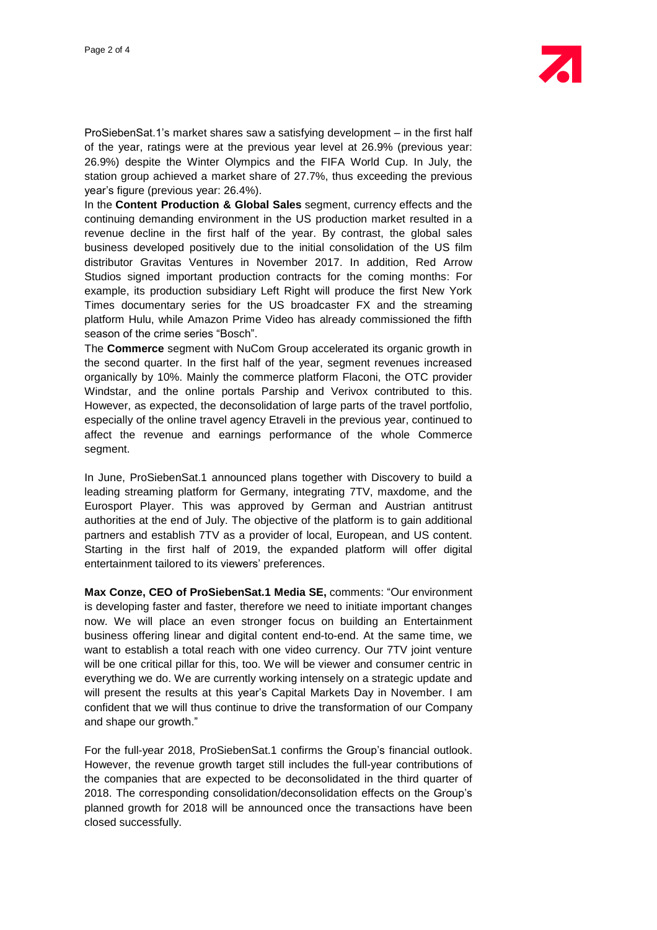ProSiebenSat.1's market shares saw a satisfying development – in the first half of the year, ratings were at the previous year level at 26.9% (previous year: 26.9%) despite the Winter Olympics and the FIFA World Cup. In July, the station group achieved a market share of 27.7%, thus exceeding the previous year's figure (previous year: 26.4%).

In the **Content Production & Global Sales** segment, currency effects and the continuing demanding environment in the US production market resulted in a revenue decline in the first half of the year. By contrast, the global sales business developed positively due to the initial consolidation of the US film distributor Gravitas Ventures in November 2017. In addition, Red Arrow Studios signed important production contracts for the coming months: For example, its production subsidiary Left Right will produce the first New York Times documentary series for the US broadcaster FX and the streaming platform Hulu, while Amazon Prime Video has already commissioned the fifth season of the crime series "Bosch".

The **Commerce** segment with NuCom Group accelerated its organic growth in the second quarter. In the first half of the year, segment revenues increased organically by 10%. Mainly the commerce platform Flaconi, the OTC provider Windstar, and the online portals Parship and Verivox contributed to this. However, as expected, the deconsolidation of large parts of the travel portfolio, especially of the online travel agency Etraveli in the previous year, continued to affect the revenue and earnings performance of the whole Commerce segment.

In June, ProSiebenSat.1 announced plans together with Discovery to build a leading streaming platform for Germany, integrating 7TV, maxdome, and the Eurosport Player. This was approved by German and Austrian antitrust authorities at the end of July. The objective of the platform is to gain additional partners and establish 7TV as a provider of local, European, and US content. Starting in the first half of 2019, the expanded platform will offer digital entertainment tailored to its viewers' preferences.

**Max Conze, CEO of ProSiebenSat.1 Media SE,** comments: "Our environment is developing faster and faster, therefore we need to initiate important changes now. We will place an even stronger focus on building an Entertainment business offering linear and digital content end-to-end. At the same time, we want to establish a total reach with one video currency. Our 7TV joint venture will be one critical pillar for this, too. We will be viewer and consumer centric in everything we do. We are currently working intensely on a strategic update and will present the results at this year's Capital Markets Day in November. I am confident that we will thus continue to drive the transformation of our Company and shape our growth."

For the full-year 2018, ProSiebenSat.1 confirms the Group's financial outlook. However, the revenue growth target still includes the full-year contributions of the companies that are expected to be deconsolidated in the third quarter of 2018. The corresponding consolidation/deconsolidation effects on the Group's planned growth for 2018 will be announced once the transactions have been closed successfully.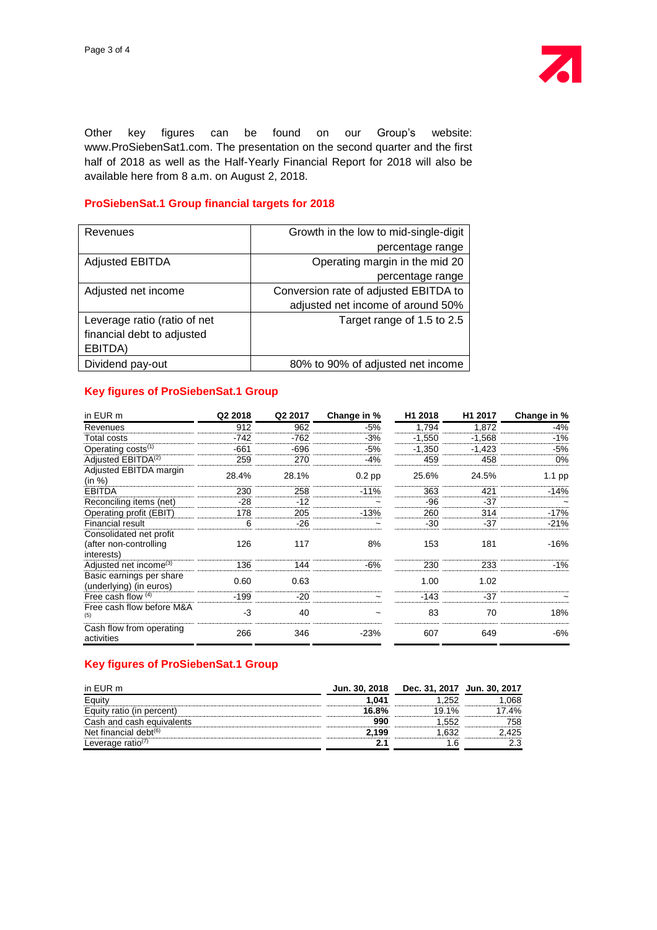

Other key figures can be found on our Group's website: www.ProSiebenSat1.com. The presentation on the second quarter and the first half of 2018 as well as the Half-Yearly Financial Report for 2018 will also be available here from 8 a.m. on August 2, 2018.

#### **ProSiebenSat.1 Group financial targets for 2018**

| Revenues                     | Growth in the low to mid-single-digit |
|------------------------------|---------------------------------------|
|                              | percentage range                      |
| <b>Adjusted EBITDA</b>       | Operating margin in the mid 20        |
|                              | percentage range                      |
| Adjusted net income          | Conversion rate of adjusted EBITDA to |
|                              | adjusted net income of around 50%     |
| Leverage ratio (ratio of net | Target range of 1.5 to 2.5            |
| financial debt to adjusted   |                                       |
| EBITDA)                      |                                       |
| Dividend pay-out             | 80% to 90% of adjusted net income     |

#### **Key figures of ProSiebenSat.1 Group**

| in EUR m                                            | Q2 2018 | Q2 2017 | Change in % | H1 2018  | H <sub>1</sub> 2017 | Change in % |
|-----------------------------------------------------|---------|---------|-------------|----------|---------------------|-------------|
| Revenues                                            | 912     | 962     | -5%         | 1,794    | 1,872               | -4%         |
| Total costs                                         | $-742$  | -762    | -3%         | $-1,550$ | $-1,568$            | $-1\%$      |
| Operating costs <sup>(1)</sup>                      | $-661$  | $-696$  | $-5%$       | $-1,350$ | $-1,423$            | -5%         |
| Adiusted EBITDA <sup>(2)</sup>                      | 259     | 270     | -4%         | 459      | 458                 | 0%          |
| Adjusted EBITDA margin<br>(in %)                    | 28.4%   | 28.1%   | $0.2$ pp    | 25.6%    | 24.5%               | $1.1$ pp    |
| <b>EBITDA</b>                                       | 230     | 258     | $-11%$      | 363      | 421                 | $-14%$      |
| Reconciling items (net)                             | -28     | $-12$   |             | -96      | $-37$               |             |
| Operating profit (EBIT)                             | 178     | 205     | $-13%$      | 260      | 314                 | $-17%$      |
| <b>Financial result</b>                             | 6       | $-26$   |             | $-30$    | $-37$               | $-21%$      |
| Consolidated net profit                             |         |         |             |          |                     |             |
| (after non-controlling                              | 126     | 117     | 8%          | 153      | 181                 | $-16%$      |
| interests)                                          |         |         |             |          |                     |             |
| Adjusted net income <sup>(3)</sup>                  | 136     | 144     | -6%         | 230      | 233                 | $-1\%$      |
| Basic earnings per share<br>(underlying) (in euros) | 0.60    | 0.63    |             | 1.00     | 1.02                |             |
| Free cash flow $(4)$                                | $-199$  | $-20$   |             | $-143$   | $-37$               |             |
| Free cash flow before M&A<br>(5)                    | $-3$    | 40      |             | 83       | 70                  | 18%         |
| Cash flow from operating<br>activities              | 266     | 346     | $-23%$      | 607      | 649                 | -6%         |

### **Key figures of ProSiebenSat.1 Group**

| in EUR m                        | Jun. 30, 2018 | Dec. 31, 2017 Jun. 30, 2017 |     |
|---------------------------------|---------------|-----------------------------|-----|
|                                 | 1.041         | 252                         | 368 |
| iitv ratio (in percent)         | 16.8%         | $9.1\%$                     | 4%  |
| Cash and cash equivalents       |               |                             | '58 |
| $\cdot$ financial debt $^{(6)}$ | .199          |                             | '25 |
| Leverage ratio <sup>(7)</sup>   |               |                             |     |